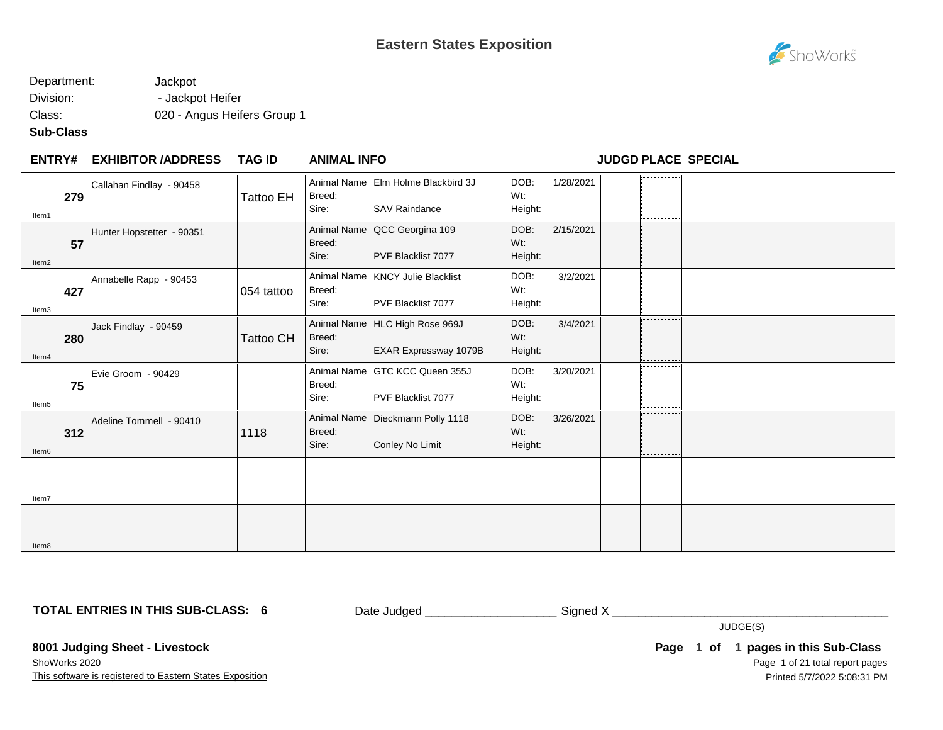# ShoWorks

### Department: Jackpot Division: - Jackpot Heifer Class: 020 - Angus Heifers Group 1

#### **Sub-Class**

#### **EXHIBITOR /ADDRESS TAG ID ENTRY# ANIMAL INFO JUDGD PLACE SPECIAL**

|       | 279 | Callahan Findlay - 90458  | Tattoo EH        | Breed:          | Animal Name Elm Holme Blackbird 3J | DOB:<br>Wt:       | 1/28/2021 | ---------- |  |
|-------|-----|---------------------------|------------------|-----------------|------------------------------------|-------------------|-----------|------------|--|
| Item1 |     |                           |                  | Sire:           | <b>SAV Raindance</b>               | Height:           |           | .          |  |
|       |     | Hunter Hopstetter - 90351 |                  |                 | Animal Name QCC Georgina 109       | DOB:              | 2/15/2021 | ---------  |  |
|       | 57  |                           |                  | Breed:<br>Sire: | PVF Blacklist 7077                 | $Wt$ :<br>Height: |           |            |  |
| Item2 |     |                           |                  |                 |                                    |                   |           | -------    |  |
|       |     | Annabelle Rapp - 90453    |                  |                 | Animal Name KNCY Julie Blacklist   | DOB:              | 3/2/2021  |            |  |
|       | 427 |                           | 054 tattoo       | Breed:          |                                    | Wt:               |           |            |  |
| Item3 |     |                           |                  | Sire:           | PVF Blacklist 7077                 | Height:           |           | ---------  |  |
|       |     | Jack Findlay - 90459      |                  |                 | Animal Name HLC High Rose 969J     | DOB:              | 3/4/2021  | ---------  |  |
|       | 280 |                           | <b>Tattoo CH</b> | Breed:          |                                    | Wt:               |           |            |  |
| Item4 |     |                           |                  | Sire:           | EXAR Expressway 1079B              | Height:           |           |            |  |
|       |     | Evie Groom - 90429        |                  |                 | Animal Name GTC KCC Queen 355J     | DOB:              | 3/20/2021 | ---------- |  |
|       | 75  |                           |                  | Breed:          |                                    | Wt:               |           |            |  |
| Item5 |     |                           |                  | Sire:           | PVF Blacklist 7077                 | Height:           |           | ---------- |  |
|       |     | Adeline Tommell - 90410   |                  |                 | Animal Name Dieckmann Polly 1118   | DOB:              | 3/26/2021 | --------   |  |
|       | 312 |                           | 1118             | Breed:          |                                    | Wt.               |           |            |  |
| Item6 |     |                           |                  | Sire:           | Conley No Limit                    | Height:           |           |            |  |
|       |     |                           |                  |                 |                                    |                   |           |            |  |
|       |     |                           |                  |                 |                                    |                   |           |            |  |
| Item7 |     |                           |                  |                 |                                    |                   |           |            |  |
|       |     |                           |                  |                 |                                    |                   |           |            |  |
|       |     |                           |                  |                 |                                    |                   |           |            |  |
| Item8 |     |                           |                  |                 |                                    |                   |           |            |  |

**TOTAL ENTRIES IN THIS SUB-CLASS: 6**

Date Judged \_\_\_\_\_\_\_\_\_\_\_\_\_\_\_\_\_\_\_\_\_\_\_\_\_\_\_\_\_\_\_ Signed X \_\_\_\_\_\_\_\_\_\_\_\_\_\_\_\_\_\_\_\_\_\_\_\_\_\_\_

JUDGE(S)

**8001 Judging Sheet - Livestock**

This software is registered to Eastern States Exposition ShoWorks 2020

Page 1 of 21 total report pages **Page 1 of 1 pages in this Sub-Class** Printed 5/7/2022 5:08:31 PM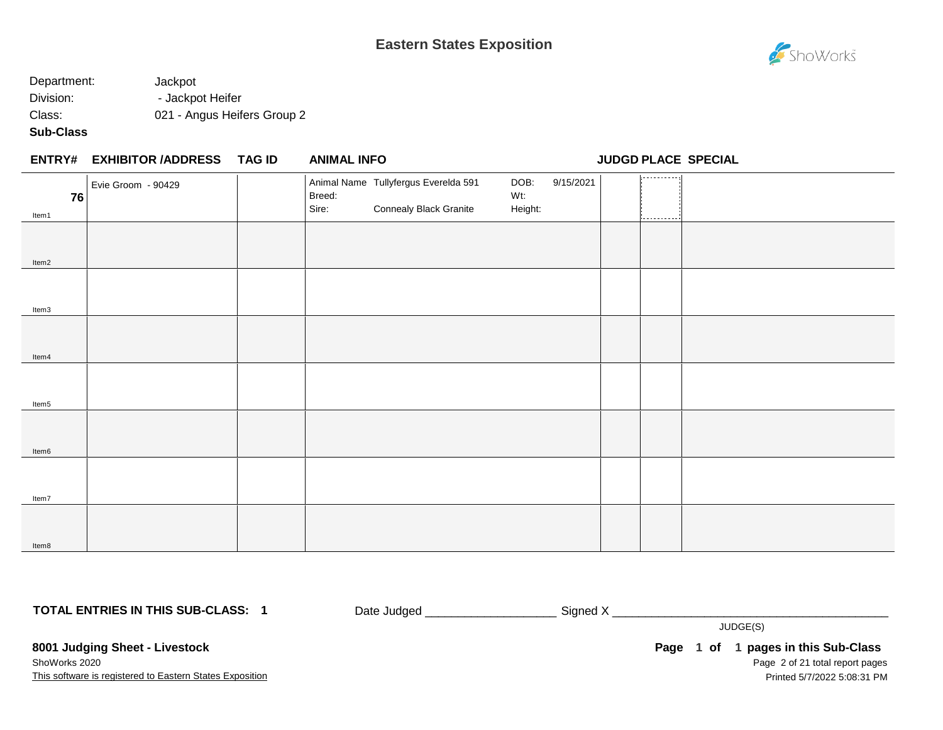

## Department: Jackpot Division: - Jackpot Heifer Class: 021 - Angus Heifers Group 2

### **Sub-Class**

#### **EXHIBITOR /ADDRESS TAG ID ENTRY# ANIMAL INFO JUDGD PLACE SPECIAL**

| 76    | Evie Groom - 90429 | Breed: | Animal Name Tullyfergus Everelda 591 | DOB:<br>Wt: | 9/15/2021 | 1,                    |  |
|-------|--------------------|--------|--------------------------------------|-------------|-----------|-----------------------|--|
| Item1 |                    | Sire:  | <b>Connealy Black Granite</b>        | Height:     |           | i <u>----------</u> - |  |
|       |                    |        |                                      |             |           |                       |  |
|       |                    |        |                                      |             |           |                       |  |
| Item2 |                    |        |                                      |             |           |                       |  |
|       |                    |        |                                      |             |           |                       |  |
|       |                    |        |                                      |             |           |                       |  |
| Item3 |                    |        |                                      |             |           |                       |  |
|       |                    |        |                                      |             |           |                       |  |
|       |                    |        |                                      |             |           |                       |  |
| Item4 |                    |        |                                      |             |           |                       |  |
|       |                    |        |                                      |             |           |                       |  |
|       |                    |        |                                      |             |           |                       |  |
| Item5 |                    |        |                                      |             |           |                       |  |
|       |                    |        |                                      |             |           |                       |  |
|       |                    |        |                                      |             |           |                       |  |
| Item6 |                    |        |                                      |             |           |                       |  |
|       |                    |        |                                      |             |           |                       |  |
|       |                    |        |                                      |             |           |                       |  |
| Item7 |                    |        |                                      |             |           |                       |  |
|       |                    |        |                                      |             |           |                       |  |
|       |                    |        |                                      |             |           |                       |  |
| Item8 |                    |        |                                      |             |           |                       |  |

**TOTAL ENTRIES IN THIS SUB-CLASS: 1**

Date Judged \_\_\_\_\_\_\_\_\_\_\_\_\_\_\_\_\_\_\_\_\_\_\_\_\_\_\_\_\_ Signed X \_\_\_\_\_\_\_\_\_\_\_\_\_\_\_\_\_\_\_\_\_\_\_\_\_\_\_\_\_

JUDGE(S)

**8001 Judging Sheet - Livestock** ShoWorks 2020

This software is registered to Eastern States Exposition

Page 2 of 21 total report pages **Page 1 of 1 pages in this Sub-Class** Printed 5/7/2022 5:08:31 PM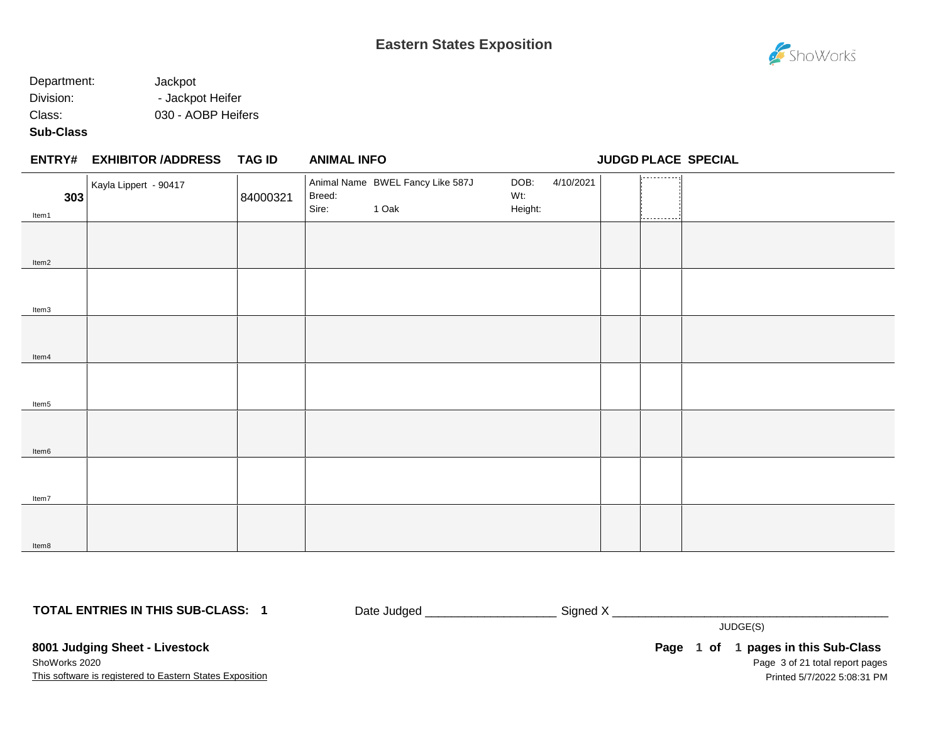

## Department: Jackpot Division: - Jackpot Heifer Class: 030 - AOBP Heifers

#### **Sub-Class**

Item8

## **EXHIBITOR /ADDRESS TAG ID ENTRY# ANIMAL INFO JUDGD PLACE SPECIAL** 1. . . . . . . . . . . . Animal Name BWEL Fancy Like 587J DOB: 4/10/2021 Kayla Lippert - 90417 Breed: Wt: **303** 84000321 Sire: 1 Oak Height: Item1 Item2 Item3 Item4 Item5 Item6 Item7

**TOTAL ENTRIES IN THIS SUB-CLASS: 1**

Date Judged \_\_\_\_\_\_\_\_\_\_\_\_\_\_\_\_\_\_\_\_ Signed X \_\_\_\_\_\_\_\_\_\_\_\_\_\_\_\_\_\_\_\_\_\_\_\_\_\_\_\_\_\_\_\_\_\_\_\_\_\_\_\_\_\_

JUDGE(S)

**8001 Judging Sheet - Livestock** ShoWorks 2020

This software is registered to Eastern States Exposition

Page 3 of 21 total report pages **Page 1 of 1 pages in this Sub-Class** Printed 5/7/2022 5:08:31 PM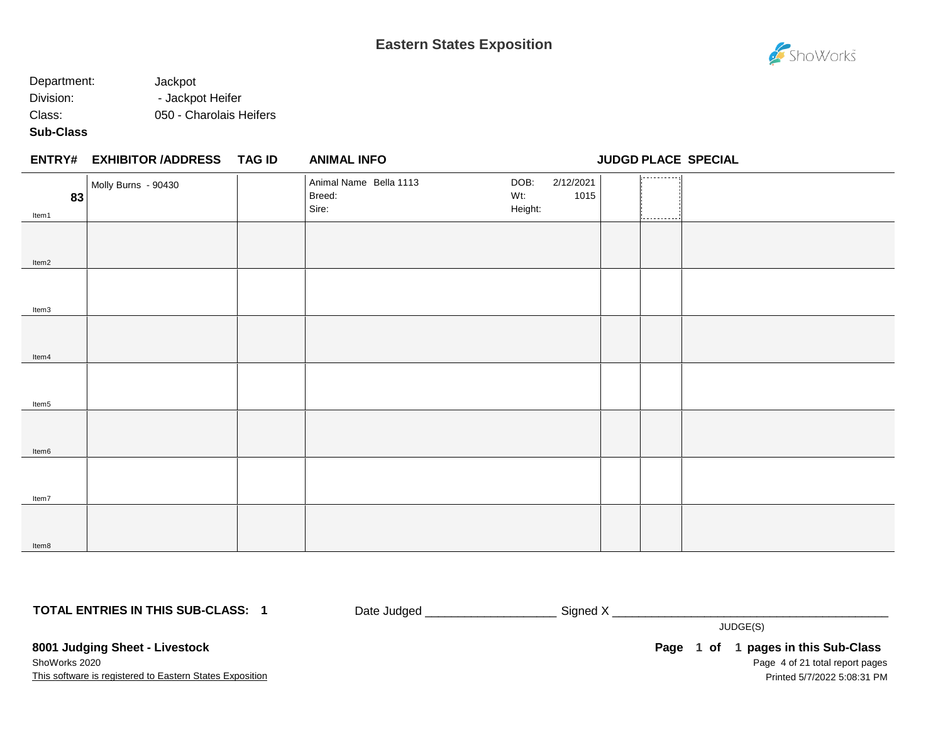## Department: Jackpot Division: - Jackpot Heifer Class: 050 - Charolais Heifers

### **Sub-Class**

|             | ENTRY# EXHIBITOR /ADDRESS TAG ID | <b>ANIMAL INFO</b>                        |                                             | JUDGD PLACE SPECIAL |
|-------------|----------------------------------|-------------------------------------------|---------------------------------------------|---------------------|
| 83<br>Item1 | Molly Burns - 90430              | Animal Name Bella 1113<br>Breed:<br>Sire: | DOB:<br>2/12/2021<br>1015<br>Wt:<br>Height: | --------<br>.       |
| Item2       |                                  |                                           |                                             |                     |
| Item3       |                                  |                                           |                                             |                     |
| Item4       |                                  |                                           |                                             |                     |
| Item5       |                                  |                                           |                                             |                     |
| Item6       |                                  |                                           |                                             |                     |
| Item7       |                                  |                                           |                                             |                     |
| Item8       |                                  |                                           |                                             |                     |

**TOTAL ENTRIES IN THIS SUB-CLASS: 1**

Date Judged \_\_\_\_\_\_\_\_\_\_\_\_\_\_\_\_\_\_\_\_\_\_\_\_\_\_\_\_ Signed X \_\_\_\_\_\_\_\_\_\_\_\_\_\_\_\_\_\_\_\_\_\_\_\_\_\_\_\_\_\_

JUDGE(S)

**8001 Judging Sheet - Livestock** ShoWorks 2020

This software is registered to Eastern States Exposition

Page 4 of 21 total report pages **Page 1 of 1 pages in this Sub-Class** Printed 5/7/2022 5:08:31 PM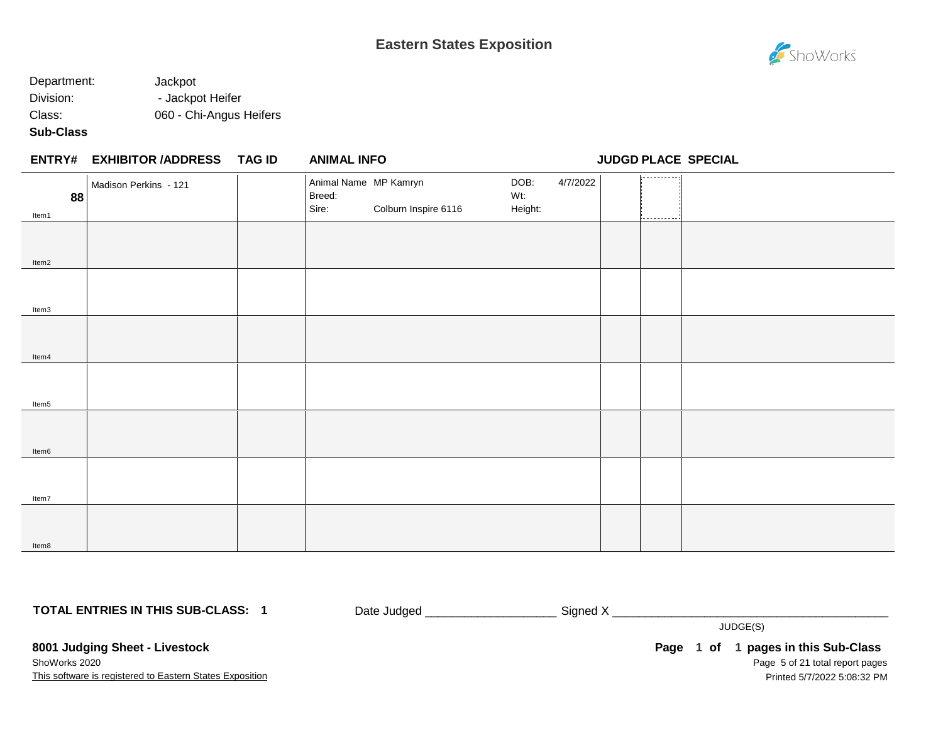## Department: Jackpot Division: - Jackpot Heifer Class: 060 - Chi-Angus Heifers

### **Sub-Class**

|             | ENTRY# EXHIBITOR /ADDRESS TAG ID | <b>ANIMAL INFO</b>                       |                      |                        |          |        | <b>JUDGD PLACE SPECIAL</b> |
|-------------|----------------------------------|------------------------------------------|----------------------|------------------------|----------|--------|----------------------------|
| 88<br>Item1 | Madison Perkins - 121            | Animal Name MP Kamryn<br>Breed:<br>Sire: | Colburn Inspire 6116 | DOB:<br>Wt:<br>Height: | 4/7/2022 | .<br>. |                            |
| Item2       |                                  |                                          |                      |                        |          |        |                            |
| Item3       |                                  |                                          |                      |                        |          |        |                            |
| Item4       |                                  |                                          |                      |                        |          |        |                            |
| Item5       |                                  |                                          |                      |                        |          |        |                            |
| Item6       |                                  |                                          |                      |                        |          |        |                            |
| Item7       |                                  |                                          |                      |                        |          |        |                            |
| Item8       |                                  |                                          |                      |                        |          |        |                            |

**TOTAL ENTRIES IN THIS SUB-CLASS: 1**

Date Judged \_\_\_\_\_\_\_\_\_\_\_\_\_\_\_\_\_\_\_\_ Signed X \_\_\_\_\_\_\_\_\_\_\_\_\_\_\_\_\_\_\_\_\_\_\_\_\_\_\_\_\_\_\_\_\_\_\_\_\_\_\_\_\_\_

JUDGE(S)

**8001 Judging Sheet - Livestock** ShoWorks 2020

This software is registered to Eastern States Exposition

Page 5 of 21 total report pages **Page 1 of 1 pages in this Sub-Class** Printed 5/7/2022 5:08:32 PM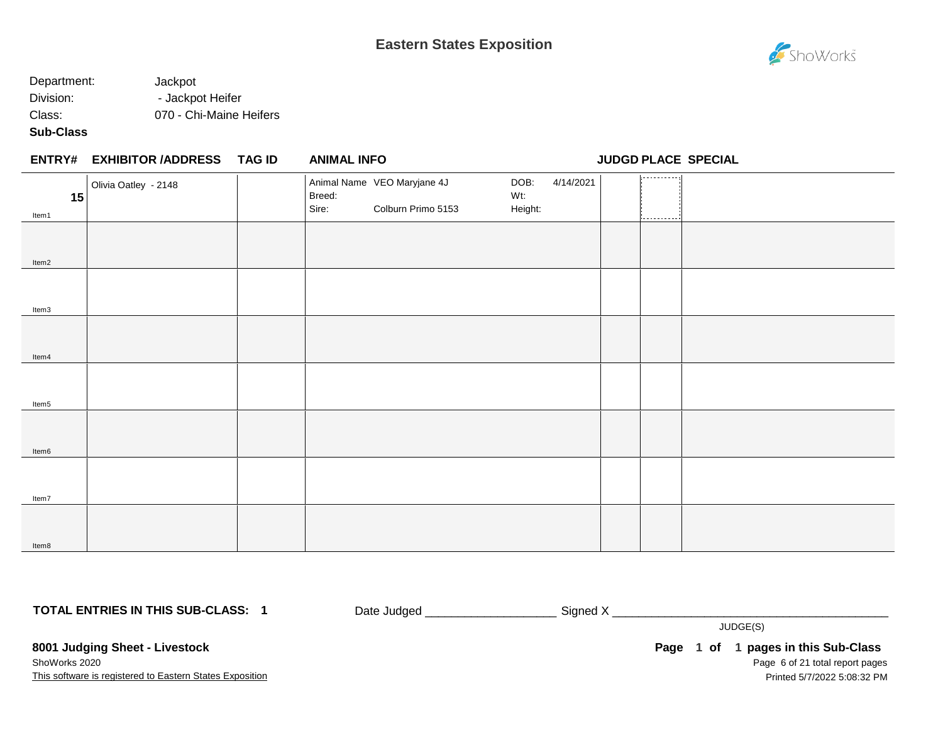## Department: Jackpot Division: - Jackpot Heifer Class: 070 - Chi-Maine Heifers

### **Sub-Class**

|             | ENTRY# EXHIBITOR /ADDRESS TAG ID | <b>ANIMAL INFO</b> |                                                   |                        |           |                | <b>JUDGD PLACE SPECIAL</b> |
|-------------|----------------------------------|--------------------|---------------------------------------------------|------------------------|-----------|----------------|----------------------------|
| 15<br>Item1 | Olivia Oatley - 2148             | Breed:<br>Sire:    | Animal Name VEO Maryjane 4J<br>Colburn Primo 5153 | DOB:<br>Wt:<br>Height: | 4/14/2021 | ---------<br>. |                            |
| Item2       |                                  |                    |                                                   |                        |           |                |                            |
| Item3       |                                  |                    |                                                   |                        |           |                |                            |
| Item4       |                                  |                    |                                                   |                        |           |                |                            |
| Item5       |                                  |                    |                                                   |                        |           |                |                            |
| Item6       |                                  |                    |                                                   |                        |           |                |                            |
| Item7       |                                  |                    |                                                   |                        |           |                |                            |
| Item8       |                                  |                    |                                                   |                        |           |                |                            |

**TOTAL ENTRIES IN THIS SUB-CLASS: 1**

Date Judged \_\_\_\_\_\_\_\_\_\_\_\_\_\_\_\_\_\_\_\_\_\_\_\_\_\_\_\_ Signed X \_\_\_\_\_\_\_\_\_\_\_\_\_\_\_\_\_\_\_\_\_\_\_\_\_\_\_\_\_\_

JUDGE(S)

**8001 Judging Sheet - Livestock** ShoWorks 2020

This software is registered to Eastern States Exposition

Page 6 of 21 total report pages **Page 1 of 1 pages in this Sub-Class** Printed 5/7/2022 5:08:32 PM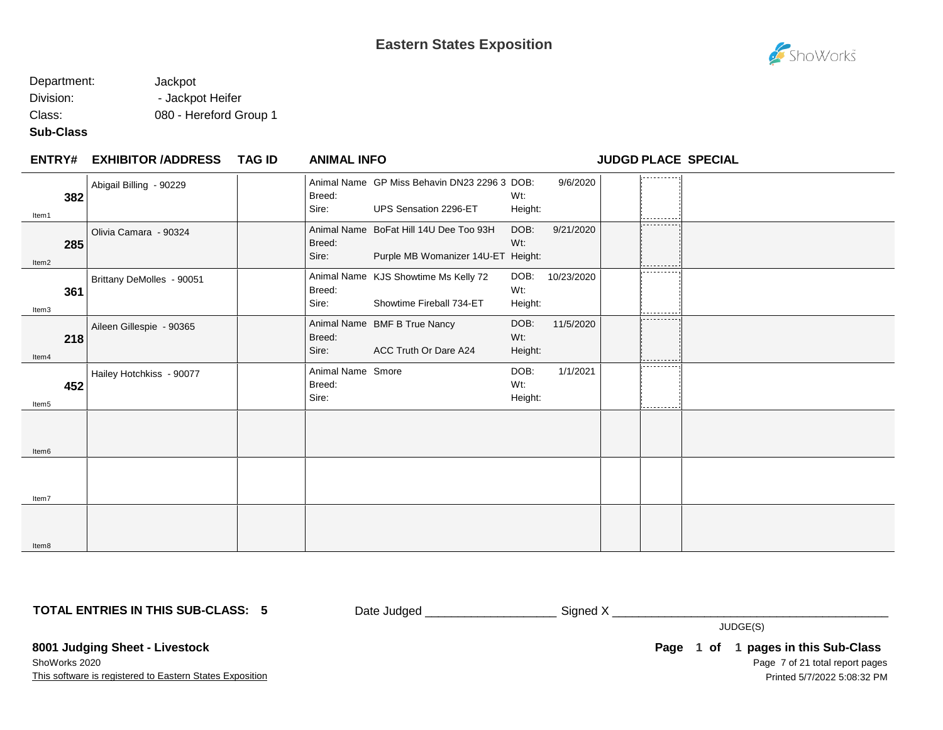

### Department: Jackpot Division: - Jackpot Heifer Class: 080 - Hereford Group 1

#### **Sub-Class**

Item7

Item8

#### **EXHIBITOR /ADDRESS TAG ID ENTRY# ANIMAL INFO JUDGD PLACE SPECIAL** 1. . . . . . . . . . . Abigail Billing - 90229 **Animal Name GP Miss Behavin DN23 2296 3 DOB:** DOB: 9/6/2020 Breed: Wt: **382** Sire: UPS Sensation 2296-ET Height: Item1 Olivia Camara - 90324 Animal Name BoFat Hill 14U Dee Too 93H DOB: 9/21/2020 Breed: Wt: **285** Sire: Purple MB Womanizer 14U-ET Height: Item2 . <u>. . . . . . . . .</u> Brittany DeMolles - 90051 | Animal Name KJS Showtime Ms Kelly 72 DOB: 10/23/2020 Breed: Wt: **361** Sire: Showtime Fireball 734-ET Height: Item3 Aileen Gillespie - 90365 | Animal Name BMF B True Nancy DOB: 11/5/2020 Breed: **218** Wt: Sire: ACC Truth Or Dare A24 Height: Item4 . . . . . . . . . Hailey Hotchkiss - 90077 | Animal Name Smore DOB: 1/1/2021 Breed: Wt: **452** Sire: Height: Item5 Item6

**TOTAL ENTRIES IN THIS SUB-CLASS: 5**

Date Judged \_\_\_\_\_\_\_\_\_\_\_\_\_\_\_\_\_\_\_\_ Signed X \_\_\_\_\_\_\_\_\_\_\_\_\_\_\_\_\_\_\_\_\_\_\_\_\_\_\_\_\_\_\_\_\_\_\_\_\_\_\_\_\_\_

JUDGE(S)

**8001 Judging Sheet - Livestock**

This software is registered to Eastern States Exposition ShoWorks 2020

Page 7 of 21 total report pages **Page 1 of 1 pages in this Sub-Class** Printed 5/7/2022 5:08:32 PM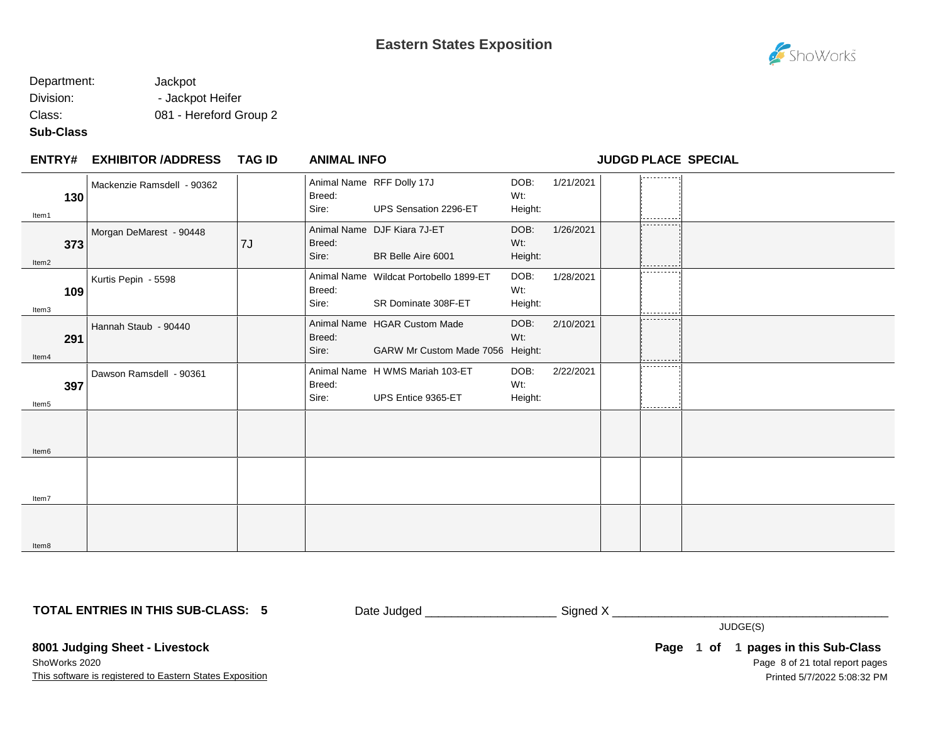### Department: Jackpot Division: - Jackpot Heifer Class: 081 - Hereford Group 2

## **Sub-Class**

| <b>ENTRY#</b>     | <b>EXHIBITOR /ADDRESS</b>  | <b>TAG ID</b> | <b>ANIMAL INFO</b> |                                                                  |                        |           | <b>JUDGD PLACE SPECIAL</b> |  |
|-------------------|----------------------------|---------------|--------------------|------------------------------------------------------------------|------------------------|-----------|----------------------------|--|
| 130<br>Item1      | Mackenzie Ramsdell - 90362 |               | Breed:<br>Sire:    | Animal Name RFF Dolly 17J<br>UPS Sensation 2296-ET               | DOB:<br>Wt:<br>Height: | 1/21/2021 | ---------                  |  |
| 373<br>Item2      | Morgan DeMarest - 90448    | 7J            | Breed:<br>Sire:    | Animal Name DJF Kiara 7J-ET<br>BR Belle Aire 6001                | DOB:<br>Wt:<br>Height: | 1/26/2021 | ----------                 |  |
| 109<br>Item3      | Kurtis Pepin - 5598        |               | Breed:<br>Sire:    | Animal Name Wildcat Portobello 1899-ET<br>SR Dominate 308F-ET    | DOB:<br>Wt:<br>Height: | 1/28/2021 | ---------                  |  |
| 291<br>Item4      | Hannah Staub - 90440       |               | Breed:<br>Sire:    | Animal Name HGAR Custom Made<br>GARW Mr Custom Made 7056 Height: | DOB:<br>Wt:            | 2/10/2021 | ----------                 |  |
| 397<br>Item5      | Dawson Ramsdell - 90361    |               | Breed:<br>Sire:    | Animal Name H WMS Mariah 103-ET<br>UPS Entice 9365-ET            | DOB:<br>Wt:<br>Height: | 2/22/2021 | ----------                 |  |
| Item <sub>6</sub> |                            |               |                    |                                                                  |                        |           |                            |  |
| ltem7             |                            |               |                    |                                                                  |                        |           |                            |  |
| Item <sub>8</sub> |                            |               |                    |                                                                  |                        |           |                            |  |

**TOTAL ENTRIES IN THIS SUB-CLASS: 5**

Date Judged \_\_\_\_\_\_\_\_\_\_\_\_\_\_\_\_\_\_\_\_ Signed X \_\_\_\_\_\_\_\_\_\_\_\_\_\_\_\_\_\_\_\_\_\_\_\_\_\_\_\_\_\_\_\_\_\_\_\_\_\_\_\_\_\_

JUDGE(S)

**8001 Judging Sheet - Livestock**

This software is registered to Eastern States Exposition ShoWorks 2020

Page 8 of 21 total report pages Page 1 of 1 pages in this Sub-Class Printed 5/7/2022 5:08:32 PM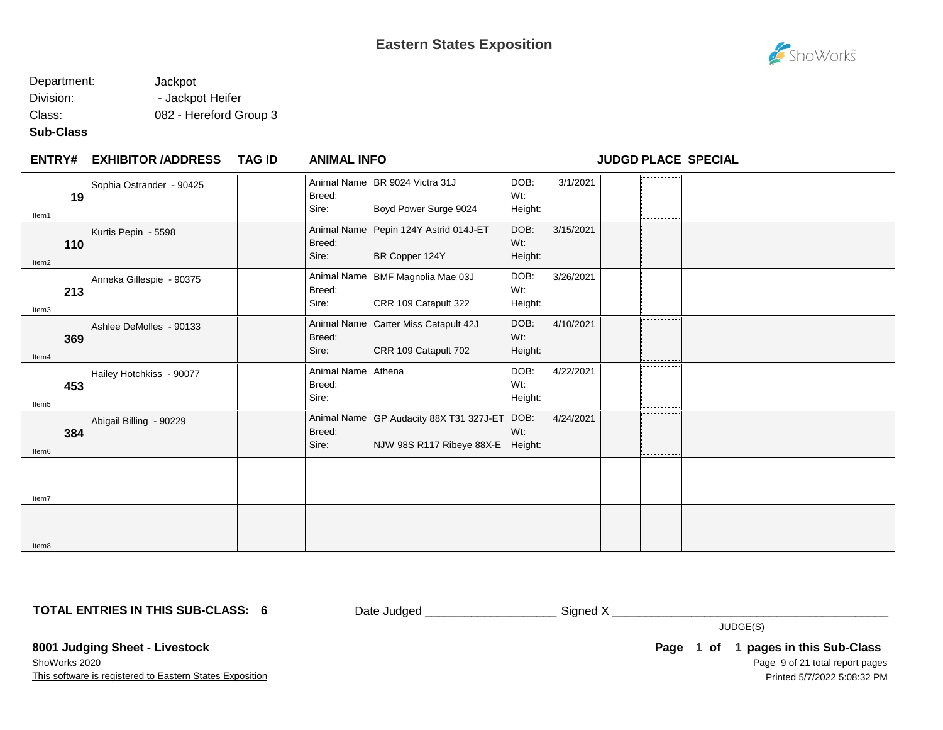### Department: Jackpot Division: - Jackpot Heifer Class: 082 - Hereford Group 3

### **Sub-Class**

| <b>ENTRY#</b> | <b>EXHIBITOR /ADDRESS</b> | <b>TAG ID</b> | <b>ANIMAL INFO</b>                    |                                                                                   |                        |           |            | <b>JUDGD PLACE SPECIAL</b> |
|---------------|---------------------------|---------------|---------------------------------------|-----------------------------------------------------------------------------------|------------------------|-----------|------------|----------------------------|
| 19<br>Item1   | Sophia Ostrander - 90425  |               | Breed:<br>Sire:                       | Animal Name BR 9024 Victra 31J<br>Boyd Power Surge 9024                           | DOB:<br>Wt:<br>Height: | 3/1/2021  |            |                            |
| 110<br>Item2  | Kurtis Pepin - 5598       |               | Breed:<br>Sire:                       | Animal Name Pepin 124Y Astrid 014J-ET<br>BR Copper 124Y                           | DOB:<br>Wt:<br>Height: | 3/15/2021 | ---------- |                            |
| 213<br>Item3  | Anneka Gillespie - 90375  |               | Breed:<br>Sire:                       | Animal Name BMF Magnolia Mae 03J<br>CRR 109 Catapult 322                          | DOB:<br>Wt:<br>Height: | 3/26/2021 | ---------  |                            |
| 369<br>Item4  | Ashlee DeMolles - 90133   |               | Breed:<br>Sire:                       | Animal Name Carter Miss Catapult 42J<br>CRR 109 Catapult 702                      | DOB:<br>Wt:<br>Height: | 4/10/2021 | ---------- |                            |
| 453<br>Item5  | Hailey Hotchkiss - 90077  |               | Animal Name Athena<br>Breed:<br>Sire: |                                                                                   | DOB:<br>Wt:<br>Height: | 4/22/2021 | ---------- |                            |
| 384<br>Item6  | Abigail Billing - 90229   |               | Breed:<br>Sire:                       | Animal Name GP Audacity 88X T31 327J-ET DOB:<br>NJW 98S R117 Ribeye 88X-E Height: | Wt:                    | 4/24/2021 | ---------  |                            |
| Item7         |                           |               |                                       |                                                                                   |                        |           |            |                            |
| Item8         |                           |               |                                       |                                                                                   |                        |           |            |                            |

**TOTAL ENTRIES IN THIS SUB-CLASS: 6**

Date Judged \_\_\_\_\_\_\_\_\_\_\_\_\_\_\_\_\_\_\_\_\_\_\_\_\_\_\_\_\_\_Signed X \_\_\_\_\_\_\_\_\_\_\_\_\_\_\_\_\_\_\_\_\_\_\_\_\_\_\_\_\_

JUDGE(S)

**8001 Judging Sheet - Livestock**

This software is registered to Eastern States Exposition ShoWorks 2020

Page 9 of 21 total report pages **Page 1 of 1 pages in this Sub-Class** Printed 5/7/2022 5:08:32 PM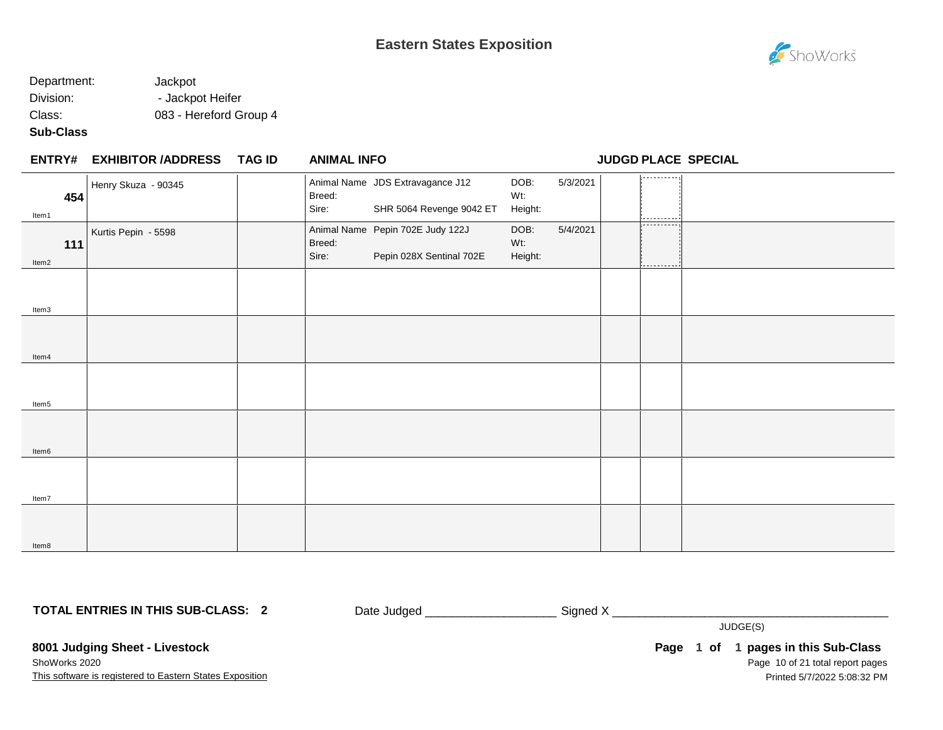

### Department: Jackpot Division: - Jackpot Heifer Class: 083 - Hereford Group 4

### **Sub-Class**

|              | <b>ENTRY# EXHIBITOR /ADDRESS</b> | TAG ID | <b>ANIMAL INFO</b> |                                                              |                        |          |                           | <b>JUDGD PLACE SPECIAL</b> |
|--------------|----------------------------------|--------|--------------------|--------------------------------------------------------------|------------------------|----------|---------------------------|----------------------------|
| 454<br>Item1 | Henry Skuza - 90345              |        | Breed:<br>Sire:    | Animal Name JDS Extravagance J12<br>SHR 5064 Revenge 9042 ET | DOB:<br>Wt:<br>Height: | 5/3/2021 | ----------                |                            |
| 111<br>Item2 | Kurtis Pepin - 5598              |        | Breed:<br>Sire:    | Animal Name Pepin 702E Judy 122J<br>Pepin 028X Sentinal 702E | DOB:<br>Wt:<br>Height: | 5/4/2021 | -----------<br>---------- |                            |
| Item3        |                                  |        |                    |                                                              |                        |          |                           |                            |
| Item4        |                                  |        |                    |                                                              |                        |          |                           |                            |
| Item5        |                                  |        |                    |                                                              |                        |          |                           |                            |
| Item6        |                                  |        |                    |                                                              |                        |          |                           |                            |
| Item7        |                                  |        |                    |                                                              |                        |          |                           |                            |
| Item8        |                                  |        |                    |                                                              |                        |          |                           |                            |

#### **TOTAL ENTRIES IN THIS SUB-CLASS: 2**

Date Judged \_\_\_\_\_\_\_\_\_\_\_\_\_\_\_\_\_\_\_\_\_\_\_\_\_\_\_\_ Signed X \_\_\_\_\_\_\_\_\_\_\_\_\_\_\_\_\_\_\_\_\_\_\_\_\_\_\_\_\_\_

JUDGE(S)

**8001 Judging Sheet - Livestock** ShoWorks 2020

This software is registered to Eastern States Exposition

Page 10 of 21 total report pages **Page 1 of 1 pages in this Sub-Class** Printed 5/7/2022 5:08:32 PM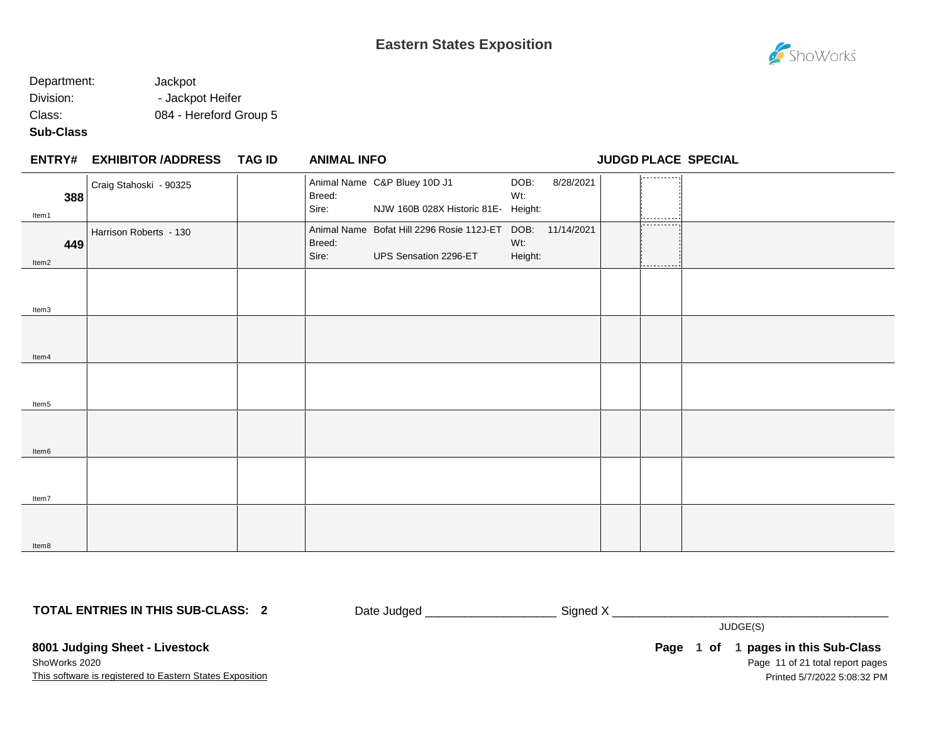

### Department: Jackpot Division: - Jackpot Heifer Class: 084 - Hereford Group 5

### **Sub-Class**

|              | ENTRY# EXHIBITOR /ADDRESS TAG ID | <b>ANIMAL INFO</b> |                                                                                    |                |           | <b>JUDGD PLACE SPECIAL</b> |  |
|--------------|----------------------------------|--------------------|------------------------------------------------------------------------------------|----------------|-----------|----------------------------|--|
| 388<br>Item1 | Craig Stahoski - 90325           | Breed:<br>Sire:    | Animal Name C&P Bluey 10D J1<br>NJW 160B 028X Historic 81E- Height:                | DOB:<br>Wt:    | 8/28/2021 | -----------                |  |
| 449<br>Item2 | Harrison Roberts - 130           | Breed:<br>Sire:    | Animal Name Bofat Hill 2296 Rosie 112J-ET DOB: 11/14/2021<br>UPS Sensation 2296-ET | Wt:<br>Height: |           | -----------<br>--------    |  |
| Item3        |                                  |                    |                                                                                    |                |           |                            |  |
| Item4        |                                  |                    |                                                                                    |                |           |                            |  |
| Item5        |                                  |                    |                                                                                    |                |           |                            |  |
| Item6        |                                  |                    |                                                                                    |                |           |                            |  |
| Item7        |                                  |                    |                                                                                    |                |           |                            |  |
| Item8        |                                  |                    |                                                                                    |                |           |                            |  |

**TOTAL ENTRIES IN THIS SUB-CLASS: 2**

Date Judged \_\_\_\_\_\_\_\_\_\_\_\_\_\_\_\_\_\_\_\_\_\_\_\_\_\_\_\_ Signed X \_\_\_\_\_\_\_\_\_\_\_\_\_\_\_\_\_\_\_\_\_\_\_\_\_\_\_\_\_\_

JUDGE(S)

**8001 Judging Sheet - Livestock** ShoWorks 2020

This software is registered to Eastern States Exposition

Page 11 of 21 total report pages **Page 1 of 1 pages in this Sub-Class** Printed 5/7/2022 5:08:32 PM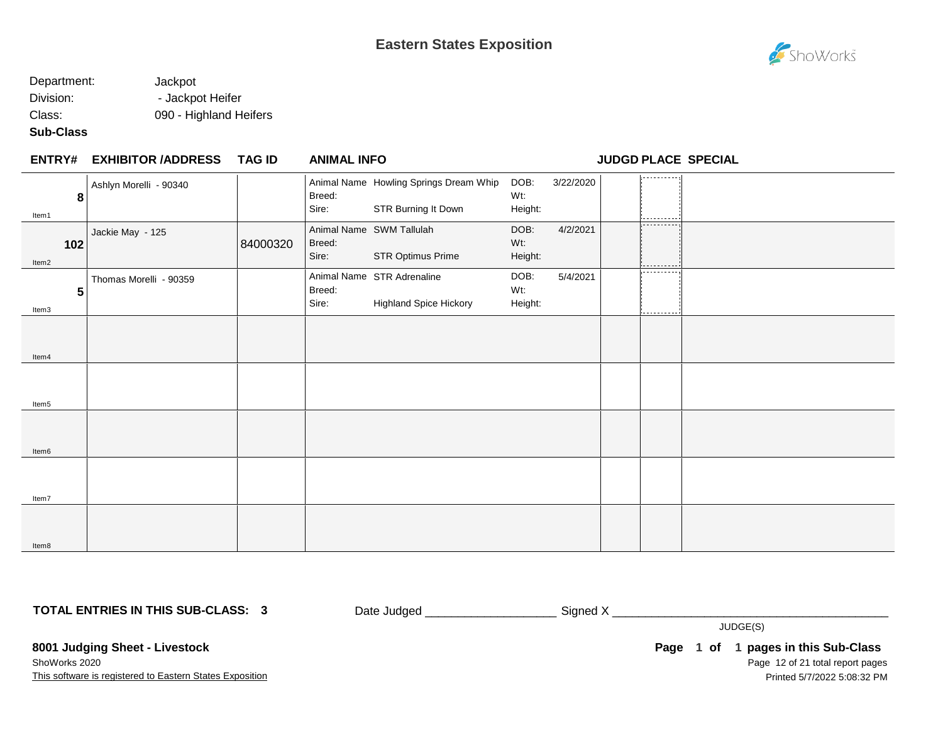### Department: Jackpot Division: - Jackpot Heifer Class: 090 - Highland Heifers

#### **Sub-Class**

| <b>ENTRY#</b> | <b>EXHIBITOR /ADDRESS</b> | TAG ID   | <b>ANIMAL INFO</b> |                                                               |                        |           | <b>JUDGD PLACE SPECIAL</b> |  |
|---------------|---------------------------|----------|--------------------|---------------------------------------------------------------|------------------------|-----------|----------------------------|--|
| 8<br>Item1    | Ashlyn Morelli - 90340    |          | Breed:<br>Sire:    | Animal Name Howling Springs Dream Whip<br>STR Burning It Down | DOB:<br>Wt:<br>Height: | 3/22/2020 | .                          |  |
| 102<br>Item2  | Jackie May - 125          | 84000320 | Breed:<br>Sire:    | Animal Name SWM Tallulah<br>STR Optimus Prime                 | DOB:<br>Wt:<br>Height: | 4/2/2021  | .                          |  |
| 5<br>Item3    | Thomas Morelli - 90359    |          | Breed:<br>Sire:    | Animal Name STR Adrenaline<br><b>Highland Spice Hickory</b>   | DOB:<br>Wt:<br>Height: | 5/4/2021  | ----------                 |  |
| Item4         |                           |          |                    |                                                               |                        |           |                            |  |
| Item5         |                           |          |                    |                                                               |                        |           |                            |  |
| Item6         |                           |          |                    |                                                               |                        |           |                            |  |
| Item7         |                           |          |                    |                                                               |                        |           |                            |  |
| Item8         |                           |          |                    |                                                               |                        |           |                            |  |

**TOTAL ENTRIES IN THIS SUB-CLASS: 3**

Date Judged \_\_\_\_\_\_\_\_\_\_\_\_\_\_\_\_\_\_\_\_\_\_\_\_\_\_\_\_ Signed X \_\_\_\_\_\_\_\_\_\_\_\_\_\_\_\_\_\_\_\_\_\_\_\_\_\_\_\_\_\_

JUDGE(S)

**8001 Judging Sheet - Livestock** ShoWorks 2020

This software is registered to Eastern States Exposition

Page 12 of 21 total report pages Page 1 of 1 pages in this Sub-Class Printed 5/7/2022 5:08:32 PM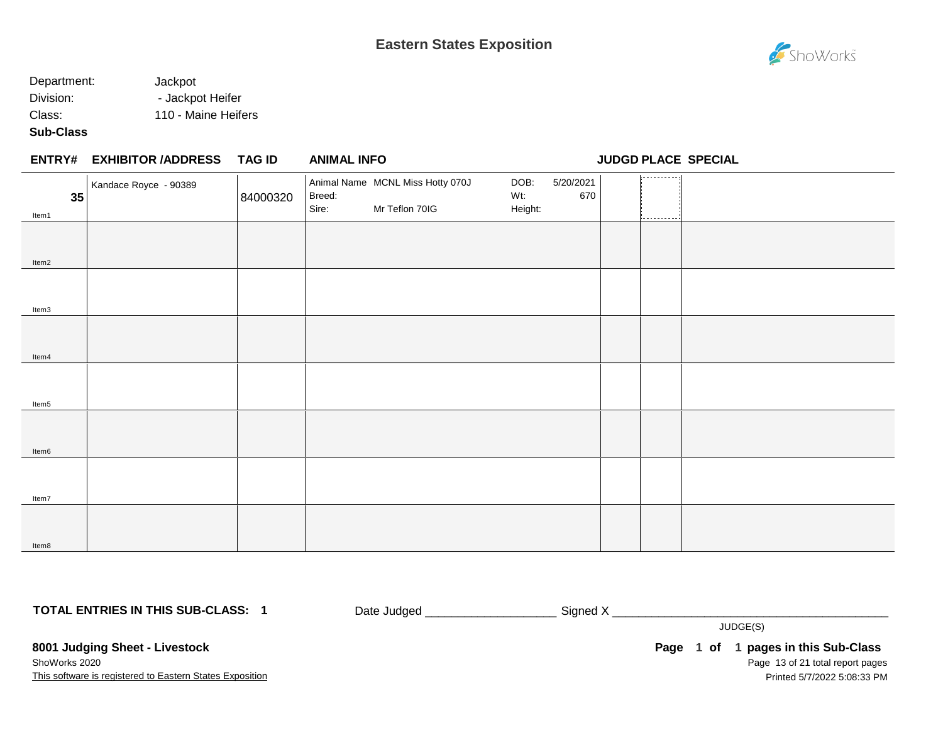### Department: Jackpot Division: - Jackpot Heifer Class: 110 - Maine Heifers

#### **Sub-Class**

Item8

## **EXHIBITOR /ADDRESS TAG ID ENTRY# ANIMAL INFO JUDGD PLACE SPECIAL** 1. . . . . . . . . . . . Animal Name MCNL Miss Hotty 070J DOB: 5/20/2021 Kandace Royce - 90389 Breed: Wt: 670 **35** 84000320 Sire: Mr Teflon 70IG Height: Item1 Item2 Item3 Item4 Item5 Item6 Item7

**TOTAL ENTRIES IN THIS SUB-CLASS: 1**

Date Judged \_\_\_\_\_\_\_\_\_\_\_\_\_\_\_\_\_\_\_\_ Signed X \_\_\_\_\_\_\_\_\_\_\_\_\_\_\_\_\_\_\_\_\_\_\_\_\_\_\_\_\_\_\_\_\_\_\_\_\_\_\_\_\_\_

JUDGE(S)

**8001 Judging Sheet - Livestock** ShoWorks 2020

This software is registered to Eastern States Exposition

Page 13 of 21 total report pages **Page 1 of 1 pages in this Sub-Class** Printed 5/7/2022 5:08:33 PM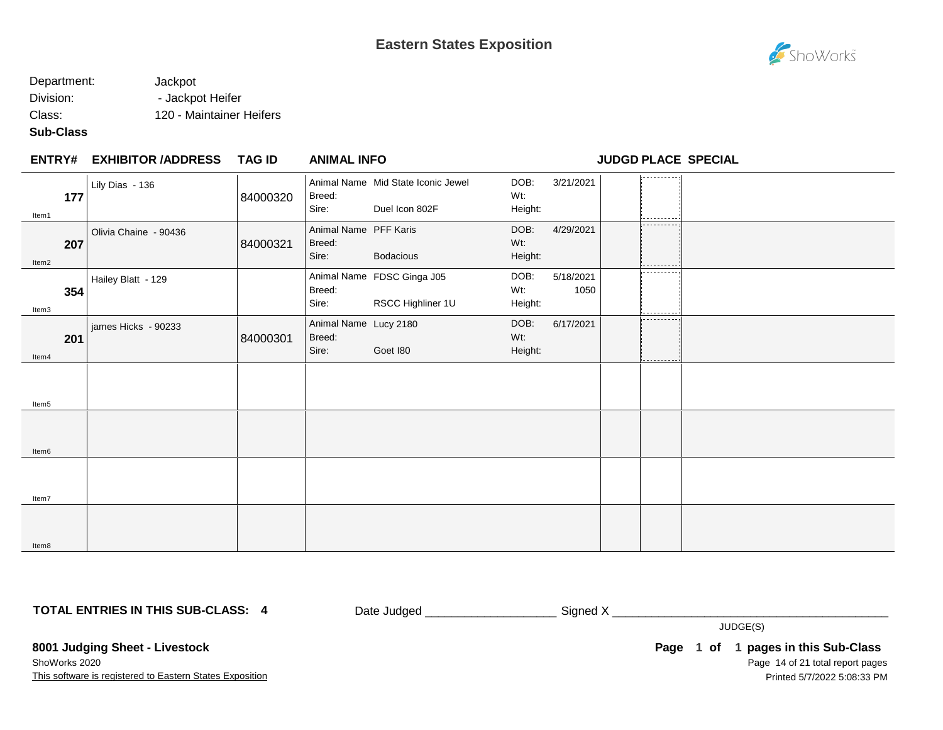## Department: Jackpot

Division: - Jackpot Heifer

Class: 120 - Maintainer Heifers

### **Sub-Class**

| <b>ENTRY#</b> | <b>EXHIBITOR /ADDRESS</b> | <b>TAG ID</b> | <b>ANIMAL INFO</b>                       |                                                      |                        |                   |                 | <b>JUDGD PLACE SPECIAL</b> |
|---------------|---------------------------|---------------|------------------------------------------|------------------------------------------------------|------------------------|-------------------|-----------------|----------------------------|
| 177<br>Item1  | Lily Dias - 136           | 84000320      | Breed:<br>Sire:                          | Animal Name Mid State Iconic Jewel<br>Duel Icon 802F | DOB:<br>Wt:<br>Height: | 3/21/2021         | -------         |                            |
| 207<br>Item2  | Olivia Chaine - 90436     | 84000321      | Animal Name PFF Karis<br>Breed:<br>Sire: | Bodacious                                            | DOB:<br>Wt:<br>Height: | 4/29/2021         | ----------<br>. |                            |
| 354<br>Item3  | Hailey Blatt - 129        |               | Breed:<br>Sire:                          | Animal Name FDSC Ginga J05<br>RSCC Highliner 1U      | DOB:<br>Wt:<br>Height: | 5/18/2021<br>1050 | ----------<br>. |                            |
| 201<br>ltem4  | james Hicks - 90233       | 84000301      | Animal Name Lucy 2180<br>Breed:<br>Sire: | Goet 180                                             | DOB:<br>Wt:<br>Height: | 6/17/2021         | .<br>.          |                            |
| Item5         |                           |               |                                          |                                                      |                        |                   |                 |                            |
| Item6         |                           |               |                                          |                                                      |                        |                   |                 |                            |
| Item7         |                           |               |                                          |                                                      |                        |                   |                 |                            |
| Item8         |                           |               |                                          |                                                      |                        |                   |                 |                            |

**TOTAL ENTRIES IN THIS SUB-CLASS: 4**

Date Judged \_\_\_\_\_\_\_\_\_\_\_\_\_\_\_\_\_\_\_\_\_\_\_\_\_\_\_\_\_\_\_Signed X \_\_\_\_\_\_\_\_\_\_\_\_\_\_\_\_\_\_\_\_\_\_\_\_\_\_\_\_

**8001 Judging Sheet - Livestock**

This software is registered to Eastern States Exposition ShoWorks 2020

Page 14 of 21 total report pages Page 1 of 1 pages in this Sub-Class Printed 5/7/2022 5:08:33 PM

JUDGE(S)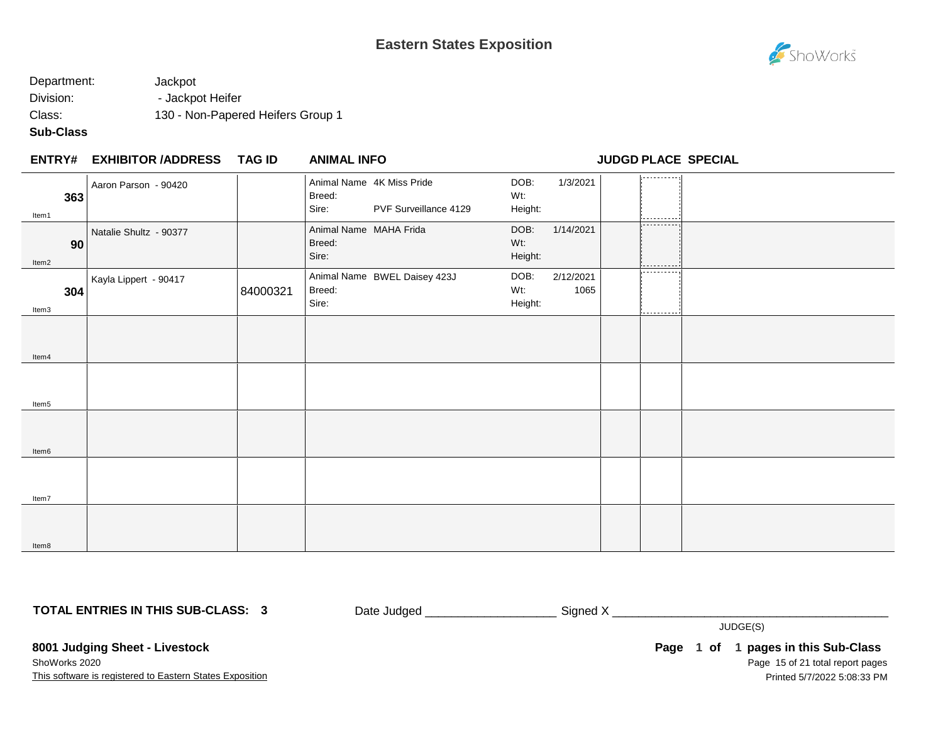

### Department: Jackpot Division: - Jackpot Heifer Class: 130 - Non-Papered Heifers Group 1

### **Sub-Class**

Item8

|              | <b>ENTRY# EXHIBITOR /ADDRESS</b> | TAG ID   | <b>ANIMAL INFO</b>                                                    |                                             | <b>JUDGD PLACE SPECIAL</b> |
|--------------|----------------------------------|----------|-----------------------------------------------------------------------|---------------------------------------------|----------------------------|
| 363<br>Item1 | Aaron Parson - 90420             |          | Animal Name 4K Miss Pride<br>Breed:<br>Sire:<br>PVF Surveillance 4129 | 1/3/2021<br>DOB:<br>Wt:<br>Height:          | . <b>.</b> .               |
| 90<br>Item2  | Natalie Shultz - 90377           |          | Animal Name MAHA Frida<br>Breed:<br>Sire:                             | DOB:<br>1/14/2021<br>Wt:<br>Height:         | .                          |
| 304<br>Item3 | Kayla Lippert - 90417            | 84000321 | Animal Name BWEL Daisey 423J<br>Breed:<br>Sire:                       | 2/12/2021<br>DOB:<br>Wt:<br>1065<br>Height: | .<br>                      |
| Item4        |                                  |          |                                                                       |                                             |                            |
| Item5        |                                  |          |                                                                       |                                             |                            |
| Item6        |                                  |          |                                                                       |                                             |                            |
| Item7        |                                  |          |                                                                       |                                             |                            |
|              |                                  |          |                                                                       |                                             |                            |

**TOTAL ENTRIES IN THIS SUB-CLASS: 3**

Date Judged \_\_\_\_\_\_\_\_\_\_\_\_\_\_\_\_\_\_\_\_\_\_\_\_\_\_\_\_\_\_\_\_\_\_ Signed X \_\_\_\_

JUDGE(S)

**8001 Judging Sheet - Livestock** ShoWorks 2020

This software is registered to Eastern States Exposition

Page 15 of 21 total report pages Page 1 of 1 pages in this Sub-Class Printed 5/7/2022 5:08:33 PM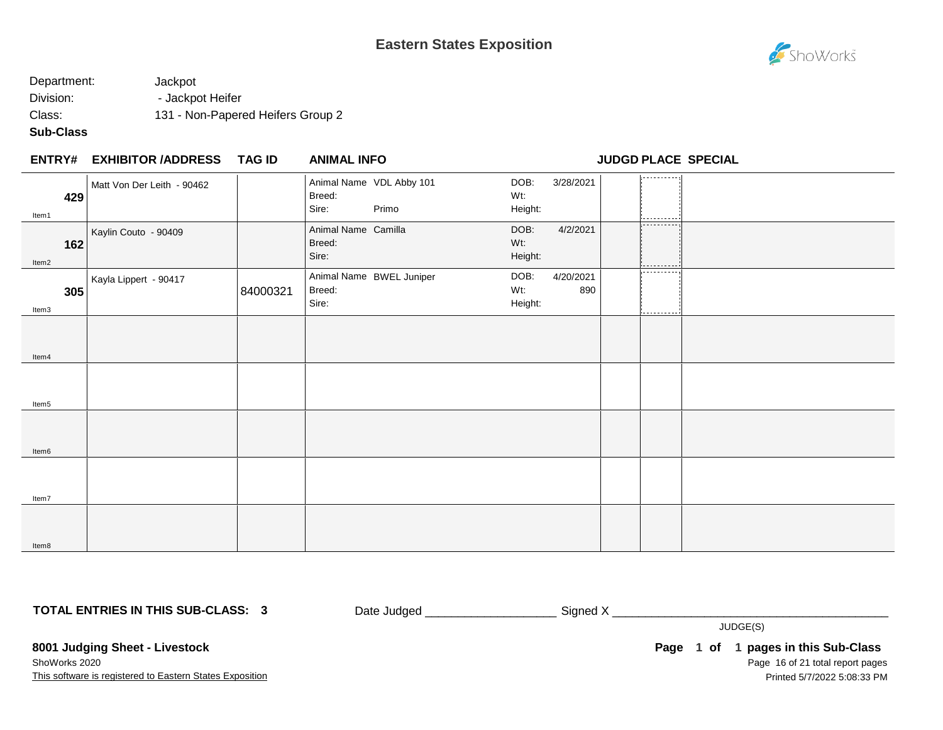

### Department: Jackpot Division: - Jackpot Heifer Class: 131 - Non-Papered Heifers Group 2

### **Sub-Class**

| <b>ENTRY# EXHIBITOR /ADDRESS</b><br>TAG ID | <b>ANIMAL INFO</b> |
|--------------------------------------------|--------------------|
|--------------------------------------------|--------------------|

**ENTRY# ANIMAL INFO JUDGD PLACE SPECIAL**

| 429<br>ltem1 | Matt Von Der Leith - 90462 |          | Breed:<br>Sire:                        | Animal Name VDL Abby 101<br>Primo | DOB:<br>Wt:<br>Height: | 3/28/2021        | المستستست والمساور |  |
|--------------|----------------------------|----------|----------------------------------------|-----------------------------------|------------------------|------------------|--------------------|--|
| 162<br>Item2 | Kaylin Couto - 90409       |          | Animal Name Camilla<br>Breed:<br>Sire: |                                   | DOB:<br>Wt:<br>Height: | 4/2/2021         | ----------<br>.    |  |
| 305<br>Item3 | Kayla Lippert - 90417      | 84000321 | Breed:<br>Sire:                        | Animal Name BWEL Juniper          | DOB:<br>Wt:<br>Height: | 4/20/2021<br>890 | .<br>----------    |  |
| Item4        |                            |          |                                        |                                   |                        |                  |                    |  |
| Item5        |                            |          |                                        |                                   |                        |                  |                    |  |
| Item6        |                            |          |                                        |                                   |                        |                  |                    |  |
| Item7        |                            |          |                                        |                                   |                        |                  |                    |  |
| Item8        |                            |          |                                        |                                   |                        |                  |                    |  |

**TOTAL ENTRIES IN THIS SUB-CLASS: 3**

Date Judged \_\_\_\_\_\_\_\_\_\_\_\_\_\_\_\_\_\_\_\_\_\_\_\_\_\_\_\_\_Signed X \_\_\_\_\_\_\_\_\_\_\_\_\_\_\_\_\_\_\_\_\_\_\_\_\_\_\_\_\_\_

JUDGE(S)

**8001 Judging Sheet - Livestock** ShoWorks 2020

This software is registered to Eastern States Exposition

Page 16 of 21 total report pages **Page 1 of 1 pages in this Sub-Class** Printed 5/7/2022 5:08:33 PM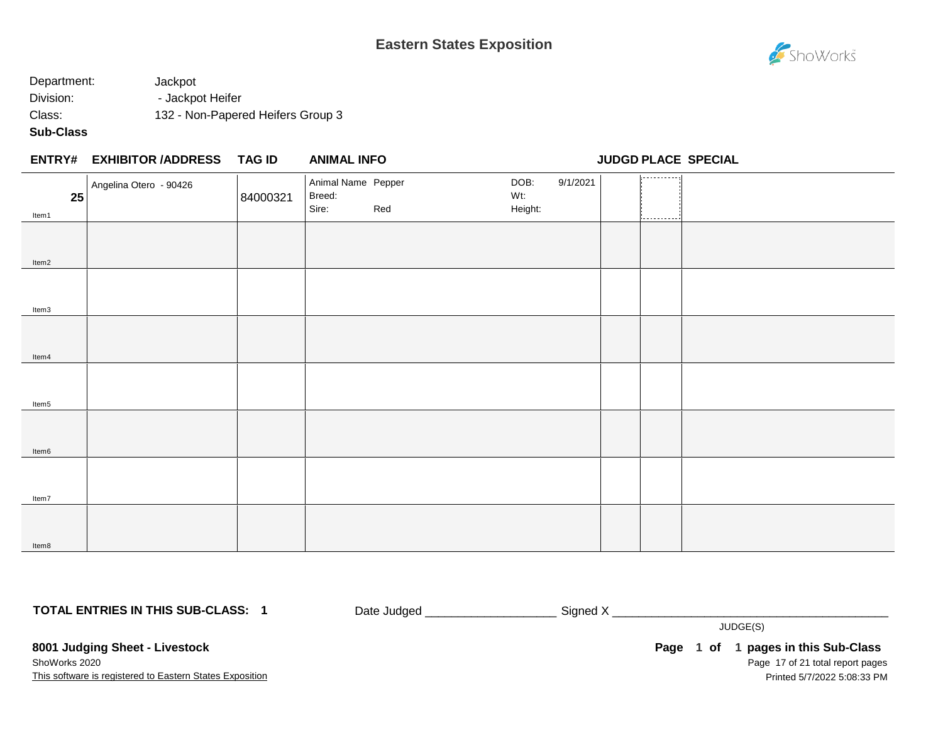

## Department: Jackpot Division: - Jackpot Heifer Class: 132 - Non-Papered Heifers Group 3

### **Sub-Class**

| ENTRY#              | <b>EXHIBITOR /ADDRESS</b> | TAG ID   | <b>ANIMAL INFO</b>           |     |             |          | <b>JUDGD PLACE SPECIAL</b> |  |
|---------------------|---------------------------|----------|------------------------------|-----|-------------|----------|----------------------------|--|
| 25                  | Angelina Otero - 90426    | 84000321 | Animal Name Pepper<br>Breed: |     | DOB:<br>Wt: | 9/1/2021 | ----------                 |  |
| $H0$ m <sup>4</sup> |                           |          | Sire:                        | Red | Height:     |          |                            |  |

| LJ    | <b>UTUUULI</b> | $-0.5 - 0.5$<br>Sire: |     | and the contract<br>Height: |                |  |
|-------|----------------|-----------------------|-----|-----------------------------|----------------|--|
| Item1 |                |                       | Red |                             | 1------------1 |  |
|       |                |                       |     |                             |                |  |
|       |                |                       |     |                             |                |  |
|       |                |                       |     |                             |                |  |
| Item2 |                |                       |     |                             |                |  |
|       |                |                       |     |                             |                |  |
|       |                |                       |     |                             |                |  |
|       |                |                       |     |                             |                |  |
| Item3 |                |                       |     |                             |                |  |
|       |                |                       |     |                             |                |  |
|       |                |                       |     |                             |                |  |
|       |                |                       |     |                             |                |  |
| Item4 |                |                       |     |                             |                |  |
|       |                |                       |     |                             |                |  |
|       |                |                       |     |                             |                |  |
|       |                |                       |     |                             |                |  |
| Item5 |                |                       |     |                             |                |  |
|       |                |                       |     |                             |                |  |
|       |                |                       |     |                             |                |  |
|       |                |                       |     |                             |                |  |
| Item6 |                |                       |     |                             |                |  |
|       |                |                       |     |                             |                |  |
|       |                |                       |     |                             |                |  |
|       |                |                       |     |                             |                |  |
| Item7 |                |                       |     |                             |                |  |
|       |                |                       |     |                             |                |  |
|       |                |                       |     |                             |                |  |
|       |                |                       |     |                             |                |  |
| Item8 |                |                       |     |                             |                |  |

**TOTAL ENTRIES IN THIS SUB-CLASS: 1**

Date Judged \_\_\_\_\_\_\_\_\_\_\_\_\_\_\_\_\_\_\_\_\_\_\_\_\_\_\_ Signed X \_\_\_\_\_\_\_\_\_\_\_\_\_\_\_\_\_\_\_\_\_\_\_\_\_\_\_\_\_\_\_

JUDGE(S)

**8001 Judging Sheet - Livestock** ShoWorks 2020

This software is registered to Eastern States Exposition

Page 17 of 21 total report pages Page 1 of 1 pages in this Sub-Class Printed 5/7/2022 5:08:33 PM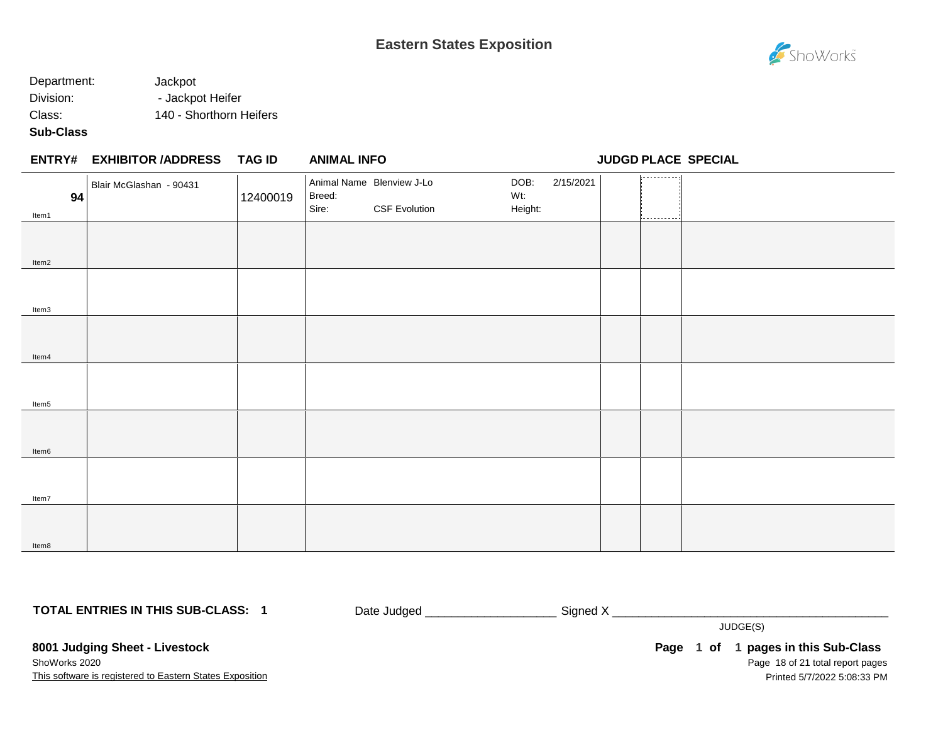### Department: Jackpot Division: - Jackpot Heifer Class: 140 - Shorthorn Heifers

### **Sub-Class**

Item8

|             | ENTRY# EXHIBITOR /ADDRESS TAG ID |          | <b>ANIMAL INFO</b> |                                                   |                        |           |        | JUDGD PLACE SPECIAL |
|-------------|----------------------------------|----------|--------------------|---------------------------------------------------|------------------------|-----------|--------|---------------------|
| 94<br>Item1 | Blair McGlashan - 90431          | 12400019 | Breed:<br>Sire:    | Animal Name Blenview J-Lo<br><b>CSF Evolution</b> | DOB:<br>Wt:<br>Height: | 2/15/2021 | .<br>. |                     |
| Item2       |                                  |          |                    |                                                   |                        |           |        |                     |
| Item3       |                                  |          |                    |                                                   |                        |           |        |                     |
| Item4       |                                  |          |                    |                                                   |                        |           |        |                     |
| Item5       |                                  |          |                    |                                                   |                        |           |        |                     |
| Item6       |                                  |          |                    |                                                   |                        |           |        |                     |
| Item7       |                                  |          |                    |                                                   |                        |           |        |                     |
|             |                                  |          |                    |                                                   |                        |           |        |                     |

**TOTAL ENTRIES IN THIS SUB-CLASS: 1**

Date Judged \_\_\_\_\_\_\_\_\_\_\_\_\_\_\_\_\_\_\_\_ Signed X \_\_\_\_\_\_\_\_\_\_\_\_\_\_\_\_\_\_\_\_\_\_\_\_\_\_\_\_\_\_\_\_\_\_\_\_\_\_\_\_\_\_

JUDGE(S)

**8001 Judging Sheet - Livestock** ShoWorks 2020

This software is registered to Eastern States Exposition

Page 18 of 21 total report pages **Page 1 of 1 pages in this Sub-Class** Printed 5/7/2022 5:08:33 PM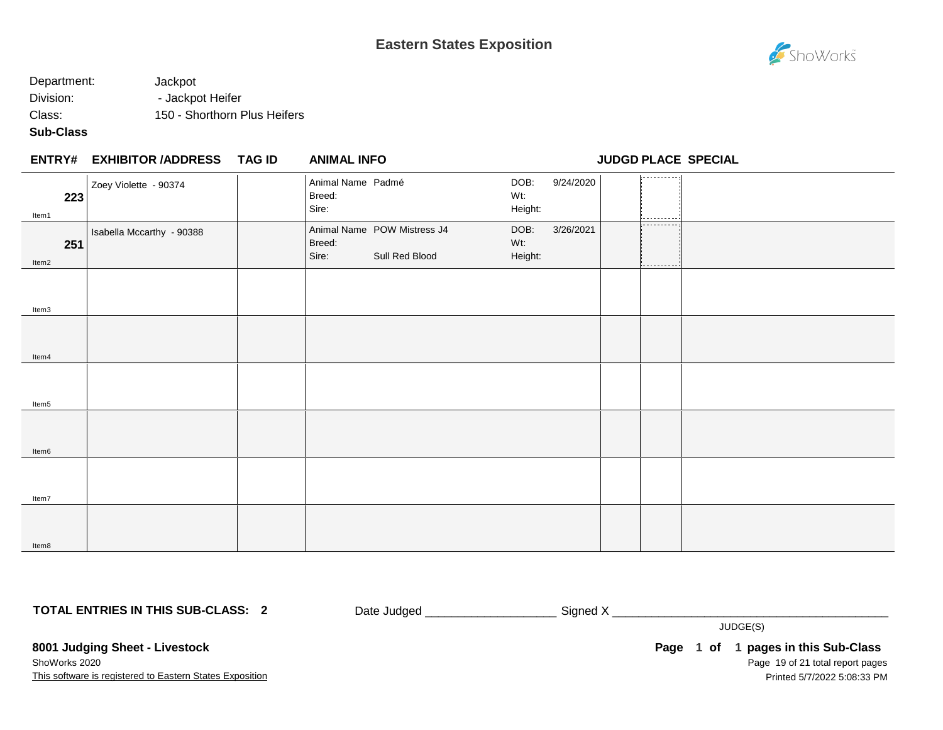

### Department: Jackpot Division: - Jackpot Heifer Class: 150 - Shorthorn Plus Heifers

#### **Sub-Class**

|              | ENTRY# EXHIBITOR /ADDRESS TAG ID | <b>ANIMAL INFO</b>                   |                                               |                        |           |                           | <b>JUDGD PLACE SPECIAL</b> |
|--------------|----------------------------------|--------------------------------------|-----------------------------------------------|------------------------|-----------|---------------------------|----------------------------|
| 223<br>Item1 | Zoey Violette - 90374            | Animal Name Padmé<br>Breed:<br>Sire: |                                               | DOB:<br>Wt:<br>Height: | 9/24/2020 | ----------                |                            |
| 251<br>Item2 | Isabella Mccarthy - 90388        | Breed:<br>Sire:                      | Animal Name POW Mistress J4<br>Sull Red Blood | DOB:<br>Wt:<br>Height: | 3/26/2021 | -----------<br>---------- |                            |
| Item3        |                                  |                                      |                                               |                        |           |                           |                            |
| Item4        |                                  |                                      |                                               |                        |           |                           |                            |
| Item5        |                                  |                                      |                                               |                        |           |                           |                            |
| Item6        |                                  |                                      |                                               |                        |           |                           |                            |
| Item7        |                                  |                                      |                                               |                        |           |                           |                            |
| Item8        |                                  |                                      |                                               |                        |           |                           |                            |

**TOTAL ENTRIES IN THIS SUB-CLASS: 2**

Date Judged \_\_\_\_\_\_\_\_\_\_\_\_\_\_\_\_\_\_\_\_\_\_\_\_\_\_\_\_\_\_\_Signed X \_\_\_\_\_\_\_\_\_\_\_\_\_\_\_\_\_\_\_\_\_\_\_\_\_\_\_\_

JUDGE(S)

**8001 Judging Sheet - Livestock** ShoWorks 2020

This software is registered to Eastern States Exposition

Page 19 of 21 total report pages **Page 1 of 1 pages in this Sub-Class** Printed 5/7/2022 5:08:33 PM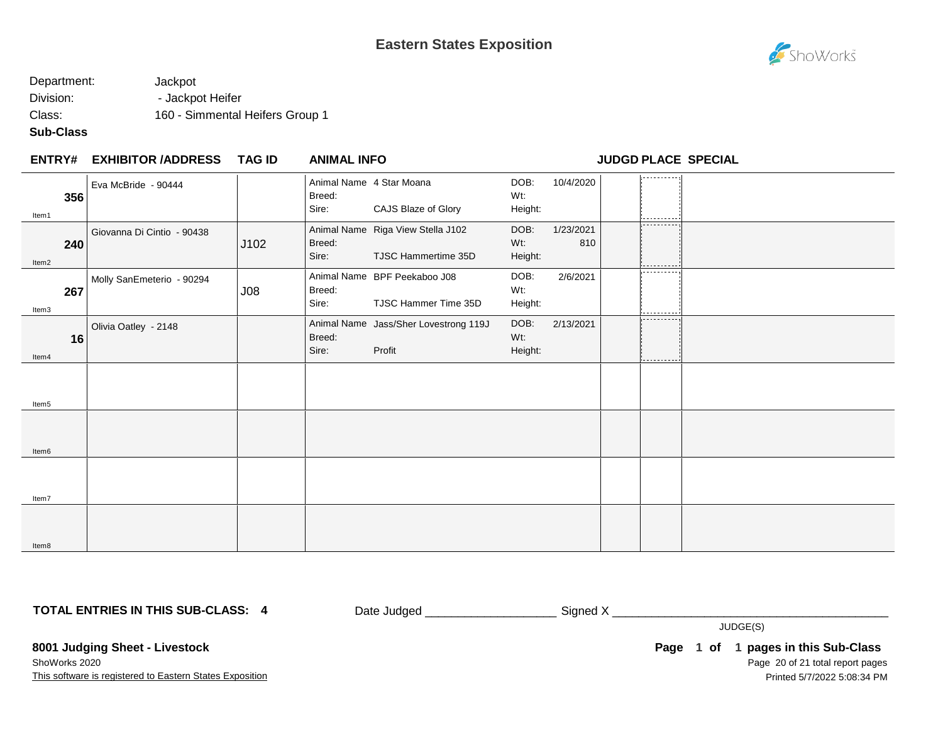

## Department: Jackpot Division: - Jackpot Heifer Class: 160 - Simmental Heifers Group 1

### **Sub-Class**

| <b>ENTRY#</b> | <b>EXHIBITOR /ADDRESS</b> | TAG ID | <b>ANIMAL INFO</b> |
|---------------|---------------------------|--------|--------------------|
|               |                           |        |                    |

**ENTRY# ANIMAL INFO JUDGD PLACE SPECIAL**

| 356<br>Item1 | Eva McBride - 90444        |      | Breed:<br>Sire: | Animal Name 4 Star Moana<br>CAJS Blaze of Glory          | DOB:<br>Wt:<br>Height:    | 10/4/2020        | -----------<br>---------- |  |
|--------------|----------------------------|------|-----------------|----------------------------------------------------------|---------------------------|------------------|---------------------------|--|
| 240<br>Item2 | Giovanna Di Cintio - 90438 | J102 | Breed:<br>Sire: | Animal Name Riga View Stella J102<br>TJSC Hammertime 35D | DOB:<br>$Wt$ :<br>Height: | 1/23/2021<br>810 | .                         |  |
| 267<br>Item3 | Molly SanEmeterio - 90294  | J08  | Breed:<br>Sire: | Animal Name BPF Peekaboo J08<br>TJSC Hammer Time 35D     | DOB:<br>Wt:<br>Height:    | 2/6/2021         | ----------                |  |
| 16<br>Item4  | Olivia Oatley - 2148       |      | Breed:<br>Sire: | Animal Name Jass/Sher Lovestrong 119J<br>Profit          | DOB:<br>Wt:<br>Height:    | 2/13/2021        | ----------                |  |
| Item5        |                            |      |                 |                                                          |                           |                  |                           |  |
| Item6        |                            |      |                 |                                                          |                           |                  |                           |  |
| Item7        |                            |      |                 |                                                          |                           |                  |                           |  |
| Item8        |                            |      |                 |                                                          |                           |                  |                           |  |

**TOTAL ENTRIES IN THIS SUB-CLASS: 4**

Date Judged \_\_\_\_\_\_\_\_\_\_\_\_\_\_\_\_\_\_\_\_\_\_\_\_\_\_\_\_ Signed X \_\_\_\_\_\_\_\_\_\_\_\_\_\_\_\_\_\_\_\_\_\_\_\_\_\_\_\_\_\_

JUDGE(S)

**8001 Judging Sheet - Livestock** ShoWorks 2020

This software is registered to Eastern States Exposition

Page 20 of 21 total report pages **Page 1 of 1 pages in this Sub-Class** Printed 5/7/2022 5:08:34 PM